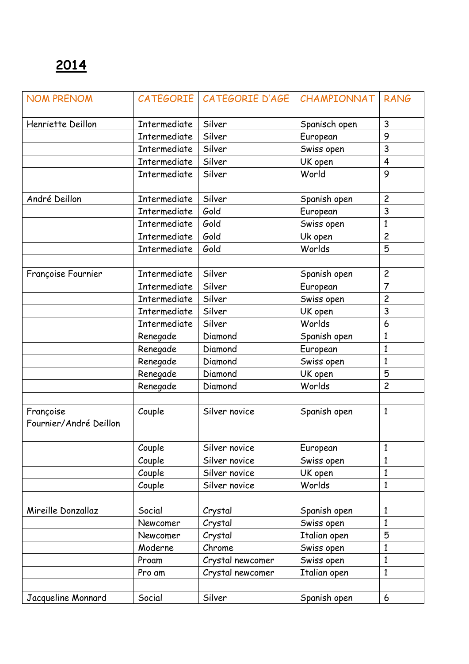| <b>NOM PRENOM</b>      |                     | CATEGORIE CATEGORIE D'AGE | CHAMPIONNAT   | <b>RANG</b>    |
|------------------------|---------------------|---------------------------|---------------|----------------|
| Henriette Deillon      | Intermediate        | Silver                    | Spanisch open | 3              |
|                        | Intermediate        | Silver                    | European      | 9              |
|                        | Intermediate        | Silver                    | Swiss open    | 3              |
|                        | Intermediate        | Silver                    | UK open       | $\overline{4}$ |
|                        | <b>Intermediate</b> | Silver                    | World         | 9              |
|                        |                     |                           |               |                |
| André Deillon          | Intermediate        | Silver                    | Spanish open  | $\overline{c}$ |
|                        | Intermediate        | Gold                      | European      | 3              |
|                        | Intermediate        | Gold                      | Swiss open    | 1              |
|                        | Intermediate        | Gold                      | Uk open       | $\overline{c}$ |
|                        | <b>Intermediate</b> | Gold                      | Worlds        | 5              |
|                        |                     |                           |               |                |
| Françoise Fournier     | Intermediate        | Silver                    | Spanish open  | $\overline{c}$ |
|                        | Intermediate        | Silver                    | European      | $\overline{7}$ |
|                        | Intermediate        | Silver                    | Swiss open    | $\overline{c}$ |
|                        | <b>Intermediate</b> | Silver                    | UK open       | 3              |
|                        | Intermediate        | Silver                    | Worlds        | 6              |
|                        | Renegade            | Diamond                   | Spanish open  | $\mathbf{1}$   |
|                        | Renegade            | Diamond                   | European      | 1              |
|                        | Renegade            | Diamond                   | Swiss open    | 1              |
|                        | Renegade            | Diamond                   | UK open       | 5              |
|                        | Renegade            | Diamond                   | Worlds        | $\overline{c}$ |
|                        |                     |                           |               |                |
| Françoise              | Couple              | Silver novice             | Spanish open  | $\mathbf{1}$   |
| Fournier/André Deillon |                     |                           |               |                |
|                        |                     |                           |               |                |
|                        | Couple              | Silver novice             | European      | 1              |
|                        | Couple              | Silver novice             | Swiss open    | 1              |
|                        | Couple              | Silver novice             | UK open       | $\mathbf{1}$   |
|                        | Couple              | Silver novice             | Worlds        | $\mathbf{1}$   |
|                        |                     |                           |               |                |
| Mireille Donzallaz     | Social              | Crystal                   | Spanish open  | $\mathbf{1}$   |
|                        | Newcomer            | Crystal                   | Swiss open    | 1              |
|                        | Newcomer            | Crystal                   | Italian open  | 5              |
|                        | Moderne             | Chrome                    | Swiss open    | $\mathbf{1}$   |
|                        | Proam               | Crystal newcomer          | Swiss open    | 1              |
|                        | Pro am              | Crystal newcomer          | Italian open  | $\mathbf{1}$   |
|                        |                     |                           |               |                |
| Jacqueline Monnard     | Social              | Silver                    | Spanish open  | 6              |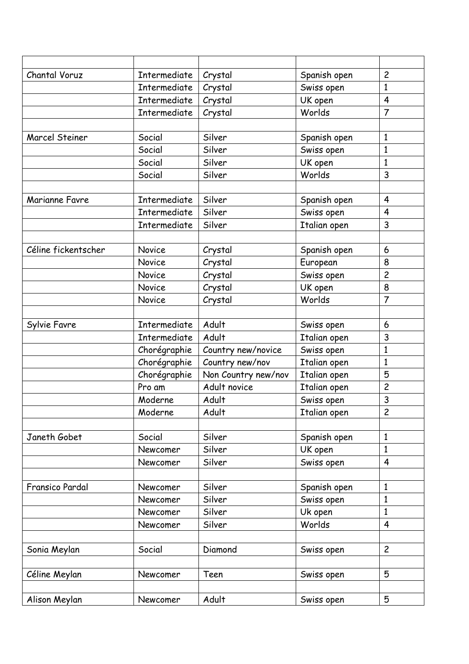| Chantal Voruz       | Intermediate | Crystal             | Spanish open | $\overline{c}$ |
|---------------------|--------------|---------------------|--------------|----------------|
|                     | Intermediate | Crystal             | Swiss open   | $\mathbf{1}$   |
|                     | Intermediate | Crystal             | UK open      | $\overline{4}$ |
|                     | Intermediate | Crystal             | Worlds       | $\overline{7}$ |
|                     |              |                     |              |                |
| Marcel Steiner      | Social       | Silver              | Spanish open | $\mathbf{1}$   |
|                     | Social       | Silver              | Swiss open   | $\mathbf{1}$   |
|                     | Social       | Silver              | UK open      | 1              |
|                     | Social       | Silver              | Worlds       | 3              |
|                     |              |                     |              |                |
| Marianne Favre      | Intermediate | Silver              | Spanish open | $\overline{4}$ |
|                     | Intermediate | Silver              | Swiss open   | $\overline{4}$ |
|                     | Intermediate | Silver              | Italian open | 3              |
|                     |              |                     |              |                |
| Céline fickentscher | Novice       | Crystal             | Spanish open | 6              |
|                     | Novice       | Crystal             | European     | 8              |
|                     | Novice       | Crystal             | Swiss open   | $\overline{c}$ |
|                     | Novice       | Crystal             | UK open      | 8              |
|                     | Novice       | Crystal             | Worlds       | $\overline{7}$ |
|                     |              |                     |              |                |
| Sylvie Favre        | Intermediate | Adult               | Swiss open   | 6              |
|                     | Intermediate | Adult               | Italian open | 3              |
|                     | Chorégraphie | Country new/novice  | Swiss open   | $\mathbf{1}$   |
|                     | Chorégraphie | Country new/nov     | Italian open | 1              |
|                     | Chorégraphie | Non Country new/nov | Italian open | 5              |
|                     | Pro am       | Adult novice        | Italian open | $\overline{c}$ |
|                     | Moderne      | Adult               | Swiss open   | $\mathsf{3}$   |
|                     | Moderne      | Adult               | Italian open | $\overline{c}$ |
|                     |              |                     |              |                |
| Janeth Gobet        | Social       | Silver              | Spanish open | $\mathbf{1}$   |
|                     | Newcomer     | Silver              | UK open      | $\mathbf{1}$   |
|                     | Newcomer     | Silver              | Swiss open   | $\overline{4}$ |
|                     |              |                     |              |                |
| Fransico Pardal     | Newcomer     | Silver              | Spanish open | $\mathbf{1}$   |
|                     | Newcomer     | Silver              | Swiss open   | 1              |
|                     | Newcomer     | Silver              | Uk open      | 1              |
|                     | Newcomer     | Silver              | Worlds       | $\overline{4}$ |
|                     |              |                     |              |                |
| Sonia Meylan        | Social       | Diamond             | Swiss open   | $\overline{2}$ |
|                     |              |                     |              |                |
| Céline Meylan       | Newcomer     | Teen                | Swiss open   | 5              |
|                     |              |                     |              |                |
| Alison Meylan       | Newcomer     | Adult               | Swiss open   | 5              |
|                     |              |                     |              |                |